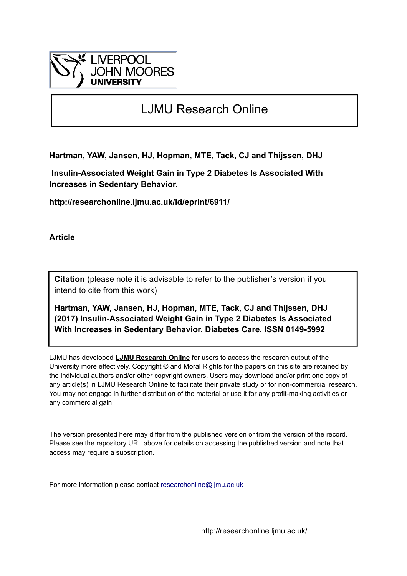

## LJMU Research Online

**Hartman, YAW, Jansen, HJ, Hopman, MTE, Tack, CJ and Thijssen, DHJ**

 **Insulin-Associated Weight Gain in Type 2 Diabetes Is Associated With Increases in Sedentary Behavior.**

**http://researchonline.ljmu.ac.uk/id/eprint/6911/**

**Article**

**Citation** (please note it is advisable to refer to the publisher's version if you intend to cite from this work)

**Hartman, YAW, Jansen, HJ, Hopman, MTE, Tack, CJ and Thijssen, DHJ (2017) Insulin-Associated Weight Gain in Type 2 Diabetes Is Associated With Increases in Sedentary Behavior. Diabetes Care. ISSN 0149-5992** 

LJMU has developed **[LJMU Research Online](http://researchonline.ljmu.ac.uk/)** for users to access the research output of the University more effectively. Copyright © and Moral Rights for the papers on this site are retained by the individual authors and/or other copyright owners. Users may download and/or print one copy of any article(s) in LJMU Research Online to facilitate their private study or for non-commercial research. You may not engage in further distribution of the material or use it for any profit-making activities or any commercial gain.

The version presented here may differ from the published version or from the version of the record. Please see the repository URL above for details on accessing the published version and note that access may require a subscription.

For more information please contact [researchonline@ljmu.ac.uk](mailto:researchonline@ljmu.ac.uk)

http://researchonline.ljmu.ac.uk/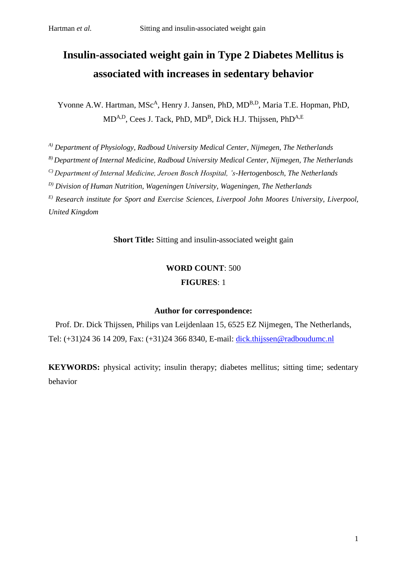# **Insulin-associated weight gain in Type 2 Diabetes Mellitus is associated with increases in sedentary behavior**

Yvonne A.W. Hartman, MSc<sup>A</sup>, Henry J. Jansen, PhD, MD<sup>B,D</sup>, Maria T.E. Hopman, PhD, MD<sup>A,D</sup>, Cees J. Tack, PhD, MD<sup>B</sup>, Dick H.J. Thijssen, PhD<sup>A,E</sup>

*A) Department of Physiology, Radboud University Medical Center, Nijmegen, The Netherlands*

*B) Department of Internal Medicine, Radboud University Medical Center, Nijmegen, The Netherlands*

*C) Department of Internal Medicine, Jeroen Bosch Hospital, 's-Hertogenbosch, The Netherlands*

*D) Division of Human Nutrition, Wageningen University, Wageningen, The Netherlands*

*E) Research institute for Sport and Exercise Sciences, Liverpool John Moores University, Liverpool, United Kingdom*

**Short Title:** Sitting and insulin-associated weight gain

## **WORD COUNT**: 500 **FIGURES**: 1

#### **Author for correspondence:**

Prof. Dr. Dick Thijssen, Philips van Leijdenlaan 15, 6525 EZ Nijmegen, The Netherlands, Tel: (+31)24 36 14 209, Fax: (+31)24 366 8340, E-mail: [dick.thijssen@radboudumc.nl](mailto:dick.thijssen@radboudumc.nl)

**KEYWORDS:** physical activity; insulin therapy; diabetes mellitus; sitting time; sedentary behavior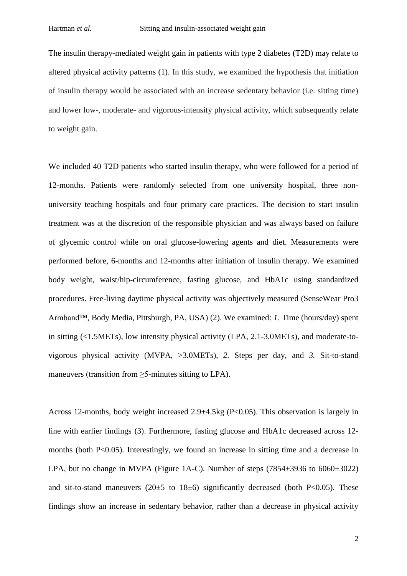The insulin therapy-mediated weight gain in patients with type 2 diabetes (T2D) may relate to altered physical activity patterns [\(1\)](#page-6-0). In this study, we examined the hypothesis that initiation of insulin therapy would be associated with an increase sedentary behavior (i.e. sitting time) and lower low-, moderate- and vigorous-intensity physical activity, which subsequently relate to weight gain.

We included 40 T2D patients who started insulin therapy, who were followed for a period of 12-months. Patients were randomly selected from one university hospital, three nonuniversity teaching hospitals and four primary care practices. The decision to start insulin treatment was at the discretion of the responsible physician and was always based on failure of glycemic control while on oral glucose-lowering agents and diet. Measurements were performed before, 6-months and 12-months after initiation of insulin therapy. We examined body weight, waist/hip-circumference, fasting glucose, and HbA1c using standardized procedures. Free-living daytime physical activity was objectively measured (SenseWear Pro3 Armband™, Body Media, Pittsburgh, PA, USA) [\(2\)](#page-6-1). We examined: *1*. Time (hours/day) spent in sitting (<1.5METs), low intensity physical activity (LPA, 2.1-3.0METs), and moderate-tovigorous physical activity (MVPA, >3.0METs), *2.* Steps per day, and *3.* Sit-to-stand maneuvers (transition from >5-minutes sitting to LPA).

Across 12-months, body weight increased 2.9±4.5kg (P<0.05). This observation is largely in line with earlier findings [\(3\)](#page-6-2). Furthermore, fasting glucose and HbA1c decreased across 12 months (both P<0.05). Interestingly, we found an increase in sitting time and a decrease in LPA, but no change in MVPA (Figure 1A-C). Number of steps  $(7854\pm3936 \text{ to } 6060\pm3022)$ and sit-to-stand maneuvers  $(20\pm5 \text{ to } 18\pm6)$  significantly decreased (both P<0.05). These findings show an increase in sedentary behavior, rather than a decrease in physical activity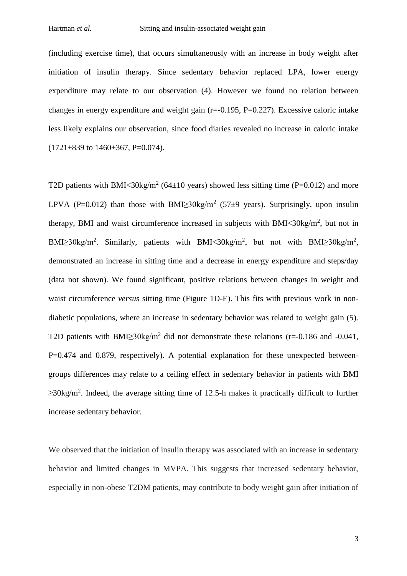(including exercise time), that occurs simultaneously with an increase in body weight after initiation of insulin therapy. Since sedentary behavior replaced LPA, lower energy expenditure may relate to our observation [\(4\)](#page-6-3). However we found no relation between changes in energy expenditure and weight gain (r=-0.195, P=0.227). Excessive caloric intake less likely explains our observation, since food diaries revealed no increase in caloric intake  $(1721\pm839)$  to  $1460\pm367$ , P=0.074).

T2D patients with BMI<30kg/m<sup>2</sup> (64 $\pm$ 10 years) showed less sitting time (P=0.012) and more LPVA (P=0.012) than those with BMI $\geq$ 30kg/m<sup>2</sup> (57 $\pm$ 9 years). Surprisingly, upon insulin therapy, BMI and waist circumference increased in subjects with BMI<30kg/ $m^2$ , but not in BMI≥30kg/m<sup>2</sup>. Similarly, patients with BMI<30kg/m<sup>2</sup>, but not with BMI≥30kg/m<sup>2</sup>, demonstrated an increase in sitting time and a decrease in energy expenditure and steps/day (data not shown). We found significant, positive relations between changes in weight and waist circumference *versus* sitting time (Figure 1D-E). This fits with previous work in nondiabetic populations, where an increase in sedentary behavior was related to weight gain [\(5\)](#page-6-4). T2D patients with BMI $\geq$ 30kg/m<sup>2</sup> did not demonstrate these relations (r=-0.186 and -0.041, P=0.474 and 0.879, respectively). A potential explanation for these unexpected betweengroups differences may relate to a ceiling effect in sedentary behavior in patients with BMI  $\geq$ 30kg/m<sup>2</sup>. Indeed, the average sitting time of 12.5-h makes it practically difficult to further increase sedentary behavior.

We observed that the initiation of insulin therapy was associated with an increase in sedentary behavior and limited changes in MVPA. This suggests that increased sedentary behavior, especially in non-obese T2DM patients, may contribute to body weight gain after initiation of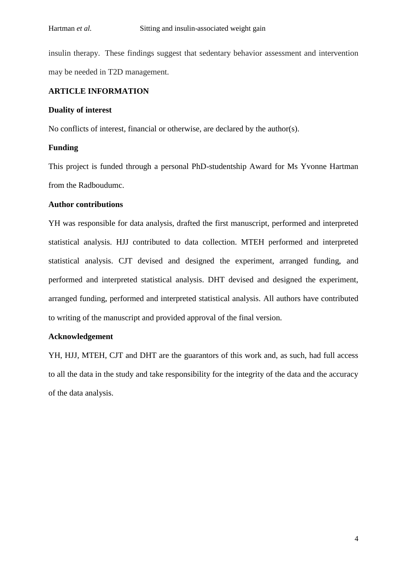insulin therapy. These findings suggest that sedentary behavior assessment and intervention may be needed in T2D management.

#### **ARTICLE INFORMATION**

#### **Duality of interest**

No conflicts of interest, financial or otherwise, are declared by the author(s).

#### **Funding**

This project is funded through a personal PhD-studentship Award for Ms Yvonne Hartman from the Radboudumc.

#### **Author contributions**

YH was responsible for data analysis, drafted the first manuscript, performed and interpreted statistical analysis. HJJ contributed to data collection. MTEH performed and interpreted statistical analysis. CJT devised and designed the experiment, arranged funding, and performed and interpreted statistical analysis. DHT devised and designed the experiment, arranged funding, performed and interpreted statistical analysis. All authors have contributed to writing of the manuscript and provided approval of the final version.

#### **Acknowledgement**

YH, HJJ, MTEH, CJT and DHT are the guarantors of this work and, as such, had full access to all the data in the study and take responsibility for the integrity of the data and the accuracy of the data analysis.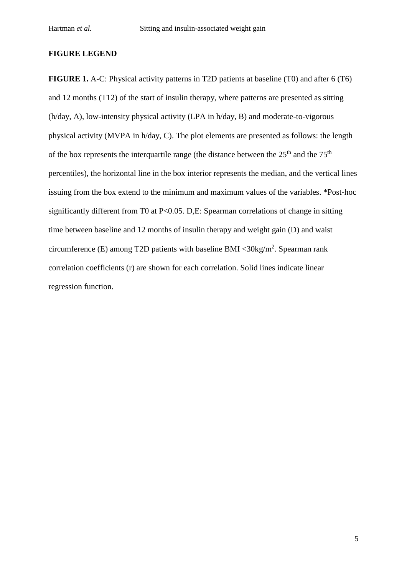#### **FIGURE LEGEND**

**FIGURE 1.** A-C: Physical activity patterns in T2D patients at baseline (T0) and after 6 (T6) and 12 months (T12) of the start of insulin therapy, where patterns are presented as sitting (h/day, A), low-intensity physical activity (LPA in h/day, B) and moderate-to-vigorous physical activity (MVPA in h/day, C). The plot elements are presented as follows: the length of the box represents the interquartile range (the distance between the  $25<sup>th</sup>$  and the  $75<sup>th</sup>$ percentiles), the horizontal line in the box interior represents the median, and the vertical lines issuing from the box extend to the minimum and maximum values of the variables. \*Post-hoc significantly different from T0 at P<0.05. D,E: Spearman correlations of change in sitting time between baseline and 12 months of insulin therapy and weight gain (D) and waist circumference (E) among T2D patients with baseline BMI < $30\text{kg/m}^2$ . Spearman rank correlation coefficients (r) are shown for each correlation. Solid lines indicate linear regression function.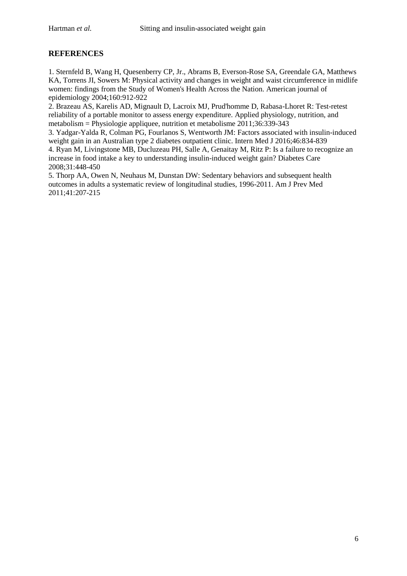### **REFERENCES**

<span id="page-6-0"></span>1. Sternfeld B, Wang H, Quesenberry CP, Jr., Abrams B, Everson-Rose SA, Greendale GA, Matthews KA, Torrens JI, Sowers M: Physical activity and changes in weight and waist circumference in midlife women: findings from the Study of Women's Health Across the Nation. American journal of epidemiology 2004;160:912-922

<span id="page-6-1"></span>2. Brazeau AS, Karelis AD, Mignault D, Lacroix MJ, Prud'homme D, Rabasa-Lhoret R: Test-retest reliability of a portable monitor to assess energy expenditure. Applied physiology, nutrition, and metabolism = Physiologie appliquee, nutrition et metabolisme  $2011$ ;36:339-343

<span id="page-6-3"></span><span id="page-6-2"></span>3. Yadgar-Yalda R, Colman PG, Fourlanos S, Wentworth JM: Factors associated with insulin-induced weight gain in an Australian type 2 diabetes outpatient clinic. Intern Med J 2016;46:834-839 4. Ryan M, Livingstone MB, Ducluzeau PH, Salle A, Genaitay M, Ritz P: Is a failure to recognize an increase in food intake a key to understanding insulin-induced weight gain? Diabetes Care 2008;31:448-450

<span id="page-6-4"></span>5. Thorp AA, Owen N, Neuhaus M, Dunstan DW: Sedentary behaviors and subsequent health outcomes in adults a systematic review of longitudinal studies, 1996-2011. Am J Prev Med 2011;41:207-215